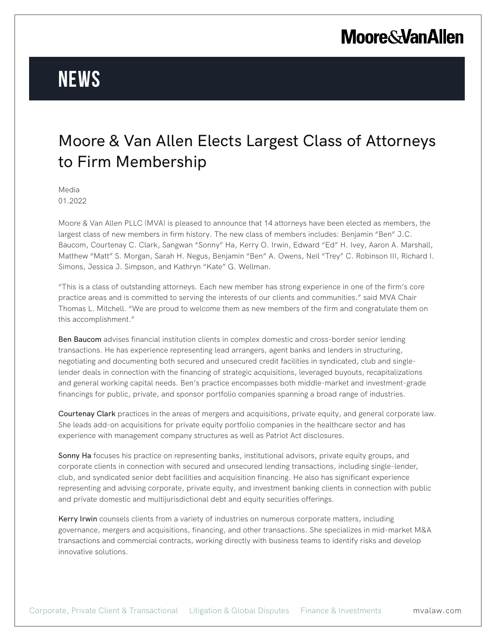## **Moore & Van Allen**

# **News**

#### Moore & Van Allen Elects Largest Class of Attorneys to Firm Membership

Media 01.2022

Moore & Van Allen PLLC (MVA) is pleased to announce that 14 attorneys have been elected as members, the largest class of new members in firm history. The new class of members includes: Benjamin "Ben" J.C. Baucom, Courtenay C. Clark, Sangwan "Sonny" Ha, Kerry O. Irwin, Edward "Ed" H. Ivey, Aaron A. Marshall, Matthew "Matt" S. Morgan, Sarah H. Negus, Benjamin "Ben" A. Owens, Neil "Trey" C. Robinson III, Richard I. Simons, Jessica J. Simpson, and Kathryn "Kate" G. Wellman.

"This is a class of outstanding attorneys. Each new member has strong experience in one of the firm's core practice areas and is committed to serving the interests of our clients and communities." said MVA Chair Thomas L. Mitchell. "We are proud to welcome them as new members of the firm and congratulate them on this accomplishment."

Ben Baucom advises financial institution clients in complex domestic and cross-border senior lending transactions. He has experience representing lead arrangers, agent banks and lenders in structuring, negotiating and documenting both secured and unsecured credit facilities in syndicated, club and singlelender deals in connection with the financing of strategic acquisitions, leveraged buyouts, recapitalizations and general working capital needs. Ben's practice encompasses both middle-market and investment-grade financings for public, private, and sponsor portfolio companies spanning a broad range of industries.

Courtenay Clark practices in the areas of mergers and acquisitions, private equity, and general corporate law. She leads add-on acquisitions for private equity portfolio companies in the healthcare sector and has experience with management company structures as well as Patriot Act disclosures.

Sonny Ha focuses his practice on representing banks, institutional advisors, private equity groups, and corporate clients in connection with secured and unsecured lending transactions, including single-lender, club, and syndicated senior debt facilities and acquisition financing. He also has significant experience representing and advising corporate, private equity, and investment banking clients in connection with public and private domestic and multijurisdictional debt and equity securities offerings.

Kerry Irwin counsels clients from a variety of industries on numerous corporate matters, including governance, mergers and acquisitions, financing, and other transactions. She specializes in mid-market M&A transactions and commercial contracts, working directly with business teams to identify risks and develop innovative solutions.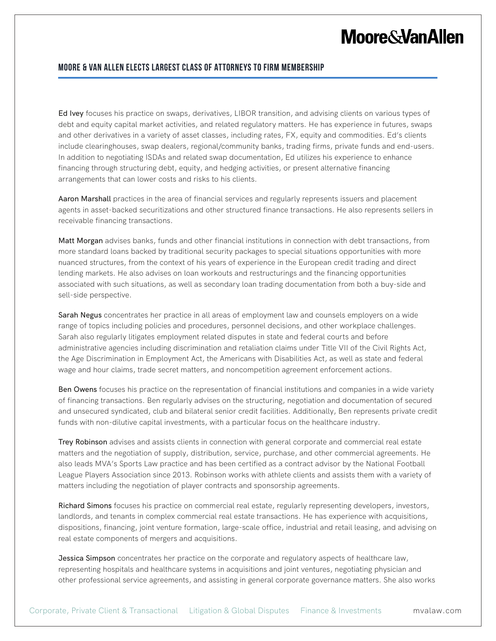### **Moore&VanAllen**

#### **Moore & Van Allen Elects Largest Class of Attorneys to Firm Membership**

Ed Ivey focuses his practice on swaps, derivatives, LIBOR transition, and advising clients on various types of debt and equity capital market activities, and related regulatory matters. He has experience in futures, swaps and other derivatives in a variety of asset classes, including rates, FX, equity and commodities. Ed's clients include clearinghouses, swap dealers, regional/community banks, trading firms, private funds and end-users. In addition to negotiating ISDAs and related swap documentation, Ed utilizes his experience to enhance financing through structuring debt, equity, and hedging activities, or present alternative financing arrangements that can lower costs and risks to his clients.

Aaron Marshall practices in the area of financial services and regularly represents issuers and placement agents in asset-backed securitizations and other structured finance transactions. He also represents sellers in receivable financing transactions.

Matt Morgan advises banks, funds and other financial institutions in connection with debt transactions, from more standard loans backed by traditional security packages to special situations opportunities with more nuanced structures, from the context of his years of experience in the European credit trading and direct lending markets. He also advises on loan workouts and restructurings and the financing opportunities associated with such situations, as well as secondary loan trading documentation from both a buy-side and sell-side perspective.

Sarah Negus concentrates her practice in all areas of employment law and counsels employers on a wide range of topics including policies and procedures, personnel decisions, and other workplace challenges. Sarah also regularly litigates employment related disputes in state and federal courts and before administrative agencies including discrimination and retaliation claims under Title VII of the Civil Rights Act, the Age Discrimination in Employment Act, the Americans with Disabilities Act, as well as state and federal wage and hour claims, trade secret matters, and noncompetition agreement enforcement actions.

Ben Owens focuses his practice on the representation of financial institutions and companies in a wide variety of financing transactions. Ben regularly advises on the structuring, negotiation and documentation of secured and unsecured syndicated, club and bilateral senior credit facilities. Additionally, Ben represents private credit funds with non-dilutive capital investments, with a particular focus on the healthcare industry.

Trey Robinson advises and assists clients in connection with general corporate and commercial real estate matters and the negotiation of supply, distribution, service, purchase, and other commercial agreements. He also leads MVA's Sports Law practice and has been certified as a contract advisor by the National Football League Players Association since 2013. Robinson works with athlete clients and assists them with a variety of matters including the negotiation of player contracts and sponsorship agreements.

Richard Simons focuses his practice on commercial real estate, regularly representing developers, investors, landlords, and tenants in complex commercial real estate transactions. He has experience with acquisitions, dispositions, financing, joint venture formation, large-scale office, industrial and retail leasing, and advising on real estate components of mergers and acquisitions.

Jessica Simpson concentrates her practice on the corporate and regulatory aspects of healthcare law, representing hospitals and healthcare systems in acquisitions and joint ventures, negotiating physician and other professional service agreements, and assisting in general corporate governance matters. She also works